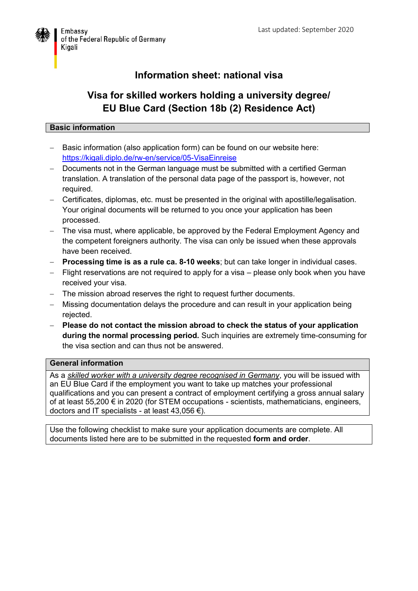

## **Information sheet: national visa**

# **Visa for skilled workers holding a university degree/ EU Blue Card (Section 18b (2) Residence Act)**

## **Basic information**

- Basic information (also application form) can be found on our website here: <https://kigali.diplo.de/rw-en/service/05-VisaEinreise>
- Documents not in the German language must be submitted with a certified German translation. A translation of the personal data page of the passport is, however, not required.
- Certificates, diplomas, etc. must be presented in the original with apostille/legalisation. Your original documents will be returned to you once your application has been processed.
- The visa must, where applicable, be approved by the Federal Employment Agency and the competent foreigners authority. The visa can only be issued when these approvals have been received.
- **Processing time is as a rule ca. 8-10 weeks**; but can take longer in individual cases.
- Flight reservations are not required to apply for a visa please only book when you have received your visa.
- The mission abroad reserves the right to request further documents.
- Missing documentation delays the procedure and can result in your application being rejected.
- **Please do not contact the mission abroad to check the status of your application during the normal processing period.** Such inquiries are extremely time-consuming for the visa section and can thus not be answered.

### **General information**

As a *skilled worker with a university degree recognised in Germany*, you will be issued with an EU Blue Card if the employment you want to take up matches your professional qualifications and you can present a contract of employment certifying a gross annual salary of at least 55,200 € in 2020 (for STEM occupations - scientists, mathematicians, engineers, doctors and IT specialists - at least  $43,056 \in$ ).

Use the following checklist to make sure your application documents are complete. All documents listed here are to be submitted in the requested **form and order**.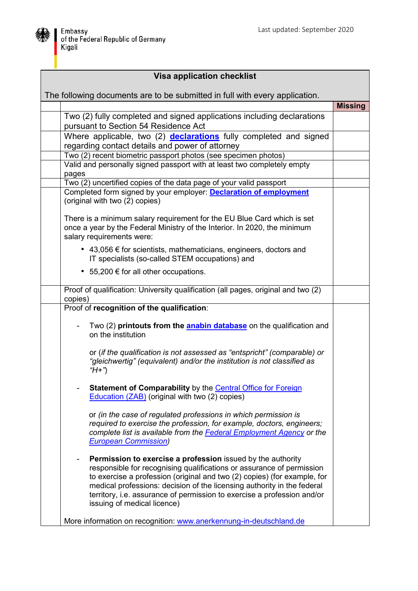

| <b>Visa application checklist</b>                                           |                                                                                                                                                                                                                                                                                                                                                                                                       |                |
|-----------------------------------------------------------------------------|-------------------------------------------------------------------------------------------------------------------------------------------------------------------------------------------------------------------------------------------------------------------------------------------------------------------------------------------------------------------------------------------------------|----------------|
| The following documents are to be submitted in full with every application. |                                                                                                                                                                                                                                                                                                                                                                                                       |                |
|                                                                             |                                                                                                                                                                                                                                                                                                                                                                                                       | <b>Missing</b> |
|                                                                             | Two (2) fully completed and signed applications including declarations<br>pursuant to Section 54 Residence Act                                                                                                                                                                                                                                                                                        |                |
|                                                                             | Where applicable, two (2) <b>declarations</b> fully completed and signed<br>regarding contact details and power of attorney                                                                                                                                                                                                                                                                           |                |
|                                                                             | Two (2) recent biometric passport photos (see specimen photos)                                                                                                                                                                                                                                                                                                                                        |                |
|                                                                             | Valid and personally signed passport with at least two completely empty<br>pages                                                                                                                                                                                                                                                                                                                      |                |
|                                                                             | Two (2) uncertified copies of the data page of your valid passport                                                                                                                                                                                                                                                                                                                                    |                |
|                                                                             | Completed form signed by your employer: <b>Declaration of employment</b><br>(original with two (2) copies)                                                                                                                                                                                                                                                                                            |                |
|                                                                             | There is a minimum salary requirement for the EU Blue Card which is set<br>once a year by the Federal Ministry of the Interior. In 2020, the minimum<br>salary requirements were:                                                                                                                                                                                                                     |                |
|                                                                             | • 43,056 $\epsilon$ for scientists, mathematicians, engineers, doctors and<br>IT specialists (so-called STEM occupations) and                                                                                                                                                                                                                                                                         |                |
|                                                                             | • 55,200 € for all other occupations.                                                                                                                                                                                                                                                                                                                                                                 |                |
|                                                                             | Proof of qualification: University qualification (all pages, original and two (2)<br>copies)                                                                                                                                                                                                                                                                                                          |                |
|                                                                             | Proof of recognition of the qualification:                                                                                                                                                                                                                                                                                                                                                            |                |
|                                                                             | Two (2) printouts from the <b>anabin database</b> on the qualification and<br>on the institution                                                                                                                                                                                                                                                                                                      |                |
|                                                                             | or (if the qualification is not assessed as "entspricht" (comparable) or<br>"gleichwertig" (equivalent) and/or the institution is not classified as<br>" $H+$ ")                                                                                                                                                                                                                                      |                |
|                                                                             | Statement of Comparability by the Central Office for Foreign<br><b>Education (ZAB)</b> (original with two (2) copies)                                                                                                                                                                                                                                                                                 |                |
|                                                                             | or (in the case of regulated professions in which permission is<br>required to exercise the profession, for example, doctors, engineers;<br>complete list is available from the Federal Employment Agency or the<br><b>European Commission)</b>                                                                                                                                                       |                |
|                                                                             | Permission to exercise a profession issued by the authority<br>responsible for recognising qualifications or assurance of permission<br>to exercise a profession (original and two (2) copies) (for example, for<br>medical professions: decision of the licensing authority in the federal<br>territory, i.e. assurance of permission to exercise a profession and/or<br>issuing of medical licence) |                |
|                                                                             | More information on recognition: www.anerkennung-in-deutschland.de                                                                                                                                                                                                                                                                                                                                    |                |